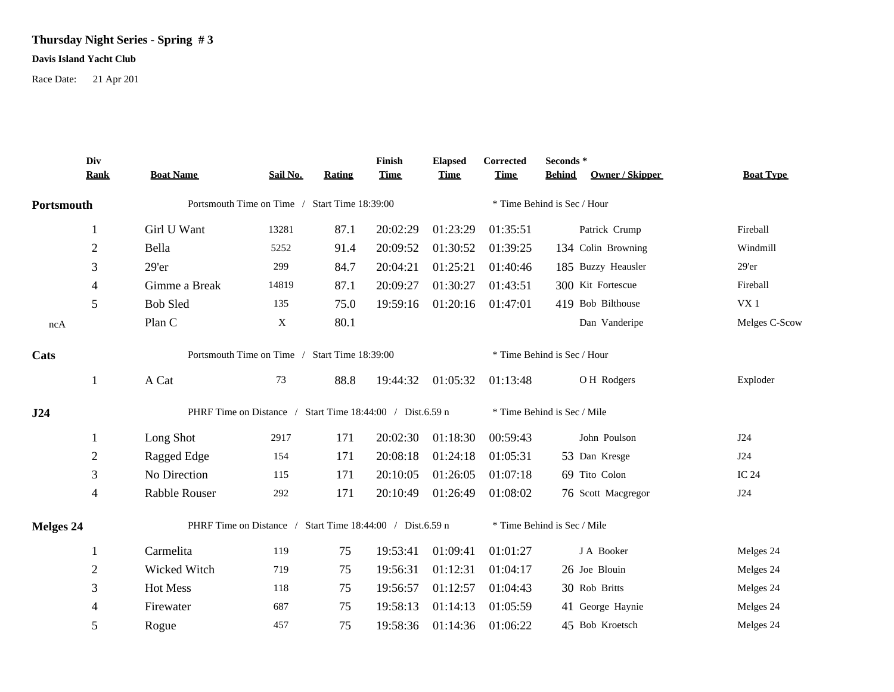## **Thursday Night Series - Spring # 3**

## **Davis Island Yacht Club**

Race Date: 21 Apr 201

|                                                       | Div<br><b>Rank</b>                                        | <b>Boat Name</b>                                          | Sail No. | <b>Rating</b> | Finish<br><b>Time</b> | <b>Elapsed</b><br><b>Time</b> | Corrected<br><b>Time</b>    | Seconds*<br><b>Behind</b>   | Owner / Skipper    | <b>Boat Type</b> |  |  |
|-------------------------------------------------------|-----------------------------------------------------------|-----------------------------------------------------------|----------|---------------|-----------------------|-------------------------------|-----------------------------|-----------------------------|--------------------|------------------|--|--|
| Portsmouth                                            |                                                           | Portsmouth Time on Time / Start Time 18:39:00             |          |               |                       |                               |                             | * Time Behind is Sec / Hour |                    |                  |  |  |
|                                                       | 1                                                         | Girl U Want                                               | 13281    | 87.1          | 20:02:29              | 01:23:29                      | 01:35:51                    |                             | Patrick Crump      | Fireball         |  |  |
|                                                       | $\sqrt{2}$                                                | Bella                                                     | 5252     | 91.4          | 20:09:52              | 01:30:52                      | 01:39:25                    |                             | 134 Colin Browning | Windmill         |  |  |
|                                                       | 3                                                         | $29'$ er                                                  | 299      | 84.7          | 20:04:21              | 01:25:21                      | 01:40:46                    |                             | 185 Buzzy Heausler | 29'er            |  |  |
|                                                       | 4                                                         | Gimme a Break                                             | 14819    | 87.1          | 20:09:27              | 01:30:27                      | 01:43:51                    |                             | 300 Kit Fortescue  | Fireball         |  |  |
|                                                       | 5                                                         | <b>Bob Sled</b>                                           | 135      | 75.0          | 19:59:16              | 01:20:16                      | 01:47:01                    |                             | 419 Bob Bilthouse  | VX1              |  |  |
| ncA                                                   |                                                           | Plan C                                                    | X        | 80.1          |                       |                               |                             |                             | Dan Vanderipe      | Melges C-Scow    |  |  |
| Portsmouth Time on Time / Start Time 18:39:00<br>Cats |                                                           |                                                           |          |               |                       |                               | * Time Behind is Sec / Hour |                             |                    |                  |  |  |
|                                                       | 1                                                         | A Cat                                                     | 73       | 88.8          |                       | 19:44:32 01:05:32             | 01:13:48                    |                             | OH Rodgers         | Exploder         |  |  |
| J24                                                   |                                                           | PHRF Time on Distance / Start Time 18:44:00 / Dist.6.59 n |          |               |                       |                               |                             | * Time Behind is Sec / Mile |                    |                  |  |  |
|                                                       | 1                                                         | Long Shot                                                 | 2917     | 171           | 20:02:30              | 01:18:30                      | 00:59:43                    |                             | John Poulson       | J24              |  |  |
|                                                       | 2                                                         | Ragged Edge                                               | 154      | 171           | 20:08:18              | 01:24:18                      | 01:05:31                    |                             | 53 Dan Kresge      | J24              |  |  |
|                                                       | 3                                                         | No Direction                                              | 115      | 171           | 20:10:05              | 01:26:05                      | 01:07:18                    |                             | 69 Tito Colon      | IC 24            |  |  |
|                                                       | 4                                                         | Rabble Rouser                                             | 292      | 171           | 20:10:49              | 01:26:49                      | 01:08:02                    |                             | 76 Scott Macgregor | J24              |  |  |
| <b>Melges 24</b>                                      | PHRF Time on Distance / Start Time 18:44:00 / Dist.6.59 n |                                                           |          |               |                       | * Time Behind is Sec / Mile   |                             |                             |                    |                  |  |  |
|                                                       | 1                                                         | Carmelita                                                 | 119      | 75            | 19:53:41              | 01:09:41                      | 01:01:27                    |                             | J A Booker         | Melges 24        |  |  |
|                                                       | $\mathbf{2}$                                              | Wicked Witch                                              | 719      | 75            | 19:56:31              | 01:12:31                      | 01:04:17                    |                             | 26 Joe Blouin      | Melges 24        |  |  |
|                                                       | 3                                                         | Hot Mess                                                  | 118      | 75            | 19:56:57              | 01:12:57                      | 01:04:43                    |                             | 30 Rob Britts      | Melges 24        |  |  |
|                                                       | 4                                                         | Firewater                                                 | 687      | 75            | 19:58:13              | 01:14:13                      | 01:05:59                    |                             | 41 George Haynie   | Melges 24        |  |  |
|                                                       | 5                                                         | Rogue                                                     | 457      | 75            | 19:58:36              | 01:14:36                      | 01:06:22                    |                             | 45 Bob Kroetsch    | Melges 24        |  |  |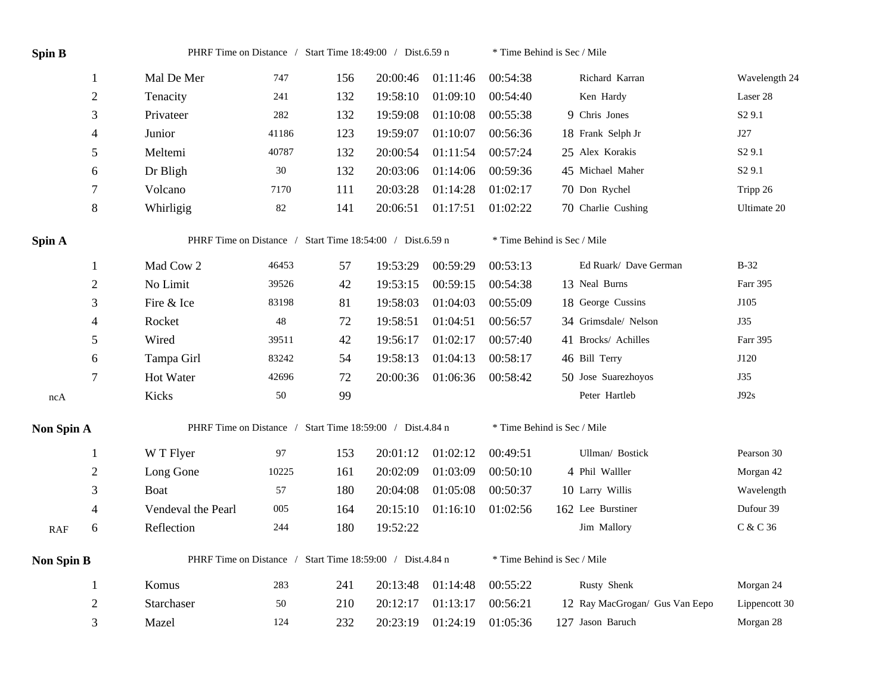| Spin B            |                  |                                                           | PHRF Time on Distance / Start Time 18:49:00 / Dist.6.59 n |     |          |          | * Time Behind is Sec / Mile |                                |                    |  |  |  |
|-------------------|------------------|-----------------------------------------------------------|-----------------------------------------------------------|-----|----------|----------|-----------------------------|--------------------------------|--------------------|--|--|--|
|                   | -1               | Mal De Mer                                                | 747                                                       | 156 | 20:00:46 | 01:11:46 | 00:54:38                    | Richard Karran                 | Wavelength 24      |  |  |  |
|                   | $\sqrt{2}$       | Tenacity                                                  | 241                                                       | 132 | 19:58:10 | 01:09:10 | 00:54:40                    | Ken Hardy                      | Laser 28           |  |  |  |
|                   | 3                | Privateer                                                 | 282                                                       | 132 | 19:59:08 | 01:10:08 | 00:55:38                    | 9 Chris Jones                  | S <sub>2</sub> 9.1 |  |  |  |
|                   | 4                | Junior                                                    | 41186                                                     | 123 | 19:59:07 | 01:10:07 | 00:56:36                    | 18 Frank Selph Jr              | J27                |  |  |  |
|                   | 5                | Meltemi                                                   | 40787                                                     | 132 | 20:00:54 | 01:11:54 | 00:57:24                    | 25 Alex Korakis                | S <sub>2</sub> 9.1 |  |  |  |
|                   | 6                | Dr Bligh                                                  | $30\,$                                                    | 132 | 20:03:06 | 01:14:06 | 00:59:36                    | 45 Michael Maher               | S <sub>2</sub> 9.1 |  |  |  |
|                   | $\boldsymbol{7}$ | Volcano                                                   | 7170                                                      | 111 | 20:03:28 | 01:14:28 | 01:02:17                    | 70 Don Rychel                  | Tripp 26           |  |  |  |
|                   | $\,8\,$          | Whirligig                                                 | $82\,$                                                    | 141 | 20:06:51 | 01:17:51 | 01:02:22                    | 70 Charlie Cushing             | Ultimate 20        |  |  |  |
| Spin A            |                  | PHRF Time on Distance / Start Time 18:54:00 / Dist.6.59 n |                                                           |     |          |          |                             | * Time Behind is Sec / Mile    |                    |  |  |  |
|                   | $\mathbf{1}$     | Mad Cow 2                                                 | 46453                                                     | 57  | 19:53:29 | 00:59:29 | 00:53:13                    | Ed Ruark/ Dave German          | $B-32$             |  |  |  |
|                   | $\overline{2}$   | No Limit                                                  | 39526                                                     | 42  | 19:53:15 | 00:59:15 | 00:54:38                    | 13 Neal Burns                  | Farr 395           |  |  |  |
|                   | 3                | Fire & Ice                                                | 83198                                                     | 81  | 19:58:03 | 01:04:03 | 00:55:09                    | 18 George Cussins              | J105               |  |  |  |
|                   | $\overline{4}$   | Rocket                                                    | 48                                                        | 72  | 19:58:51 | 01:04:51 | 00:56:57                    | 34 Grimsdale/ Nelson           | J35                |  |  |  |
|                   | 5                | Wired                                                     | 39511                                                     | 42  | 19:56:17 | 01:02:17 | 00:57:40                    | 41 Brocks/ Achilles            | Farr 395           |  |  |  |
|                   | 6                | Tampa Girl                                                | 83242                                                     | 54  | 19:58:13 | 01:04:13 | 00:58:17                    | 46 Bill Terry                  | J120               |  |  |  |
|                   | $\tau$           | Hot Water                                                 | 42696                                                     | 72  | 20:00:36 | 01:06:36 | 00:58:42                    | 50 Jose Suarezhoyos            | J35                |  |  |  |
| ncA               |                  | Kicks                                                     | 50                                                        | 99  |          |          |                             | Peter Hartleb                  | J92s               |  |  |  |
| Non Spin A        |                  | PHRF Time on Distance / Start Time 18:59:00 / Dist.4.84 n |                                                           |     |          |          |                             | * Time Behind is Sec / Mile    |                    |  |  |  |
|                   | $\mathbf{1}$     | W T Flyer                                                 | 97                                                        | 153 | 20:01:12 | 01:02:12 | 00:49:51                    | Ullman/ Bostick                | Pearson 30         |  |  |  |
|                   | $\boldsymbol{2}$ | Long Gone                                                 | 10225                                                     | 161 | 20:02:09 | 01:03:09 | 00:50:10                    | 4 Phil Walller                 | Morgan 42          |  |  |  |
|                   | 3                | Boat                                                      | 57                                                        | 180 | 20:04:08 | 01:05:08 | 00:50:37                    | 10 Larry Willis                | Wavelength         |  |  |  |
|                   | $\overline{4}$   | Vendeval the Pearl                                        | 005                                                       | 164 | 20:15:10 | 01:16:10 | 01:02:56                    | 162 Lee Burstiner              | Dufour 39          |  |  |  |
| <b>RAF</b>        | 6                | Reflection                                                | 244                                                       | 180 | 19:52:22 |          |                             | Jim Mallory                    | C & C 36           |  |  |  |
| <b>Non Spin B</b> |                  | PHRF Time on Distance / Start Time 18:59:00 / Dist.4.84 n |                                                           |     |          |          |                             | * Time Behind is Sec / Mile    |                    |  |  |  |
|                   | $\mathbf{1}$     | Komus                                                     | 283                                                       | 241 | 20:13:48 | 01:14:48 | 00:55:22                    | Rusty Shenk                    | Morgan 24          |  |  |  |
|                   | $\overline{2}$   | Starchaser                                                | 50                                                        | 210 | 20:12:17 | 01:13:17 | 00:56:21                    | 12 Ray MacGrogan/ Gus Van Eepo | Lippencott 30      |  |  |  |
|                   | 3                | Mazel                                                     | 124                                                       | 232 | 20:23:19 | 01:24:19 | 01:05:36                    | 127 Jason Baruch               | Morgan 28          |  |  |  |